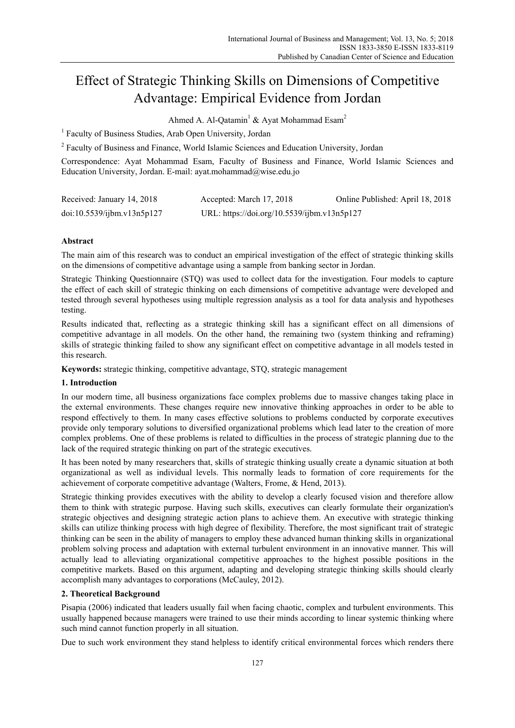# Effect of Strategic Thinking Skills on Dimensions of Competitive Advantage: Empirical Evidence from Jordan

Ahmed A. Al-Qatamin<sup>1</sup> & Ayat Mohammad Esam<sup>2</sup>

<sup>1</sup> Faculty of Business Studies, Arab Open University, Jordan

<sup>2</sup> Faculty of Business and Finance, World Islamic Sciences and Education University, Jordan

Correspondence: Ayat Mohammad Esam, Faculty of Business and Finance, World Islamic Sciences and Education University, Jordan. E-mail: ayat.mohammad@wise.edu.jo

| Received: January 14, 2018 | Accepted: March 17, 2018                    | Online Published: April 18, 2018 |
|----------------------------|---------------------------------------------|----------------------------------|
| doi:10.5539/ijbm.v13n5p127 | URL: https://doi.org/10.5539/ijbm.v13n5p127 |                                  |

# **Abstract**

The main aim of this research was to conduct an empirical investigation of the effect of strategic thinking skills on the dimensions of competitive advantage using a sample from banking sector in Jordan.

Strategic Thinking Questionnaire (STQ) was used to collect data for the investigation. Four models to capture the effect of each skill of strategic thinking on each dimensions of competitive advantage were developed and tested through several hypotheses using multiple regression analysis as a tool for data analysis and hypotheses testing.

Results indicated that, reflecting as a strategic thinking skill has a significant effect on all dimensions of competitive advantage in all models. On the other hand, the remaining two (system thinking and reframing) skills of strategic thinking failed to show any significant effect on competitive advantage in all models tested in this research.

**Keywords:** strategic thinking, competitive advantage, STQ, strategic management

# **1. Introduction**

In our modern time, all business organizations face complex problems due to massive changes taking place in the external environments. These changes require new innovative thinking approaches in order to be able to respond effectively to them. In many cases effective solutions to problems conducted by corporate executives provide only temporary solutions to diversified organizational problems which lead later to the creation of more complex problems. One of these problems is related to difficulties in the process of strategic planning due to the lack of the required strategic thinking on part of the strategic executives.

It has been noted by many researchers that, skills of strategic thinking usually create a dynamic situation at both organizational as well as individual levels. This normally leads to formation of core requirements for the achievement of corporate competitive advantage (Walters, Frome, & Hend, 2013).

Strategic thinking provides executives with the ability to develop a clearly focused vision and therefore allow them to think with strategic purpose. Having such skills, executives can clearly formulate their organization's strategic objectives and designing strategic action plans to achieve them. An executive with strategic thinking skills can utilize thinking process with high degree of flexibility. Therefore, the most significant trait of strategic thinking can be seen in the ability of managers to employ these advanced human thinking skills in organizational problem solving process and adaptation with external turbulent environment in an innovative manner. This will actually lead to alleviating organizational competitive approaches to the highest possible positions in the competitive markets. Based on this argument, adapting and developing strategic thinking skills should clearly accomplish many advantages to corporations (McCauley, 2012).

# **2. Theoretical Background**

Pisapia (2006) indicated that leaders usually fail when facing chaotic, complex and turbulent environments. This usually happened because managers were trained to use their minds according to linear systemic thinking where such mind cannot function properly in all situation.

Due to such work environment they stand helpless to identify critical environmental forces which renders there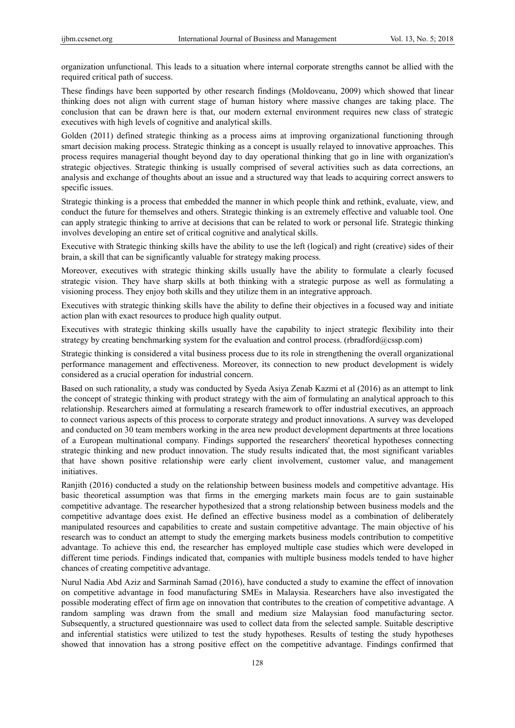organization unfunctional. This leads to a situation where internal corporate strengths cannot be allied with the required critical path of success.

These findings have been supported by other research findings (Moldoveanu, 2009) which showed that linear thinking does not align with current stage of human history where massive changes are taking place. The conclusion that can be drawn here is that, our modern external environment requires new class of strategic executives with high levels of cognitive and analytical skills.

Golden (2011) defined strategic thinking as a process aims at improving organizational functioning through smart decision making process. Strategic thinking as a concept is usually relayed to innovative approaches. This process requires managerial thought beyond day to day operational thinking that go in line with organization's strategic objectives. Strategic thinking is usually comprised of several activities such as data corrections, an analysis and exchange of thoughts about an issue and a structured way that leads to acquiring correct answers to specific issues.

Strategic thinking is a process that embedded the manner in which people think and rethink, evaluate, view, and conduct the future for themselves and others. Strategic thinking is an extremely effective and valuable tool. One can apply strategic thinking to arrive at decisions that can be related to work or personal life. Strategic thinking involves developing an entire set of critical cognitive and analytical skills.

Executive with Strategic thinking skills have the ability to use the left (logical) and right (creative) sides of their brain, a skill that can be significantly valuable for strategy making process.

Moreover, executives with strategic thinking skills usually have the ability to formulate a clearly focused strategic vision. They have sharp skills at both thinking with a strategic purpose as well as formulating a visioning process. They enjoy both skills and they utilize them in an integrative approach.

Executives with strategic thinking skills have the ability to define their objectives in a focused way and initiate action plan with exact resources to produce high quality output.

Executives with strategic thinking skills usually have the capability to inject strategic flexibility into their strategy by creating benchmarking system for the evaluation and control process. (rbradford@cssp.com)

Strategic thinking is considered a vital business process due to its role in strengthening the overall organizational performance management and effectiveness. Moreover, its connection to new product development is widely considered as a crucial operation for industrial concern.

Based on such rationality, a study was conducted by Syeda Asiya Zenab Kazmi et al (2016) as an attempt to link the concept of strategic thinking with product strategy with the aim of formulating an analytical approach to this relationship. Researchers aimed at formulating a research framework to offer industrial executives, an approach to connect various aspects of this process to corporate strategy and product innovations. A survey was developed and conducted on 30 team members working in the area new product development departments at three locations of a European multinational company. Findings supported the researchers' theoretical hypotheses connecting strategic thinking and new product innovation. The study results indicated that, the most significant variables that have shown positive relationship were early client involvement, customer value, and management initiatives.

Ranjith (2016) conducted a study on the relationship between business models and competitive advantage. His basic theoretical assumption was that firms in the emerging markets main focus are to gain sustainable competitive advantage. The researcher hypothesized that a strong relationship between business models and the competitive advantage does exist. He defined an effective business model as a combination of deliberately manipulated resources and capabilities to create and sustain competitive advantage. The main objective of his research was to conduct an attempt to study the emerging markets business models contribution to competitive advantage. To achieve this end, the researcher has employed multiple case studies which were developed in different time periods. Findings indicated that, companies with multiple business models tended to have higher chances of creating competitive advantage.

Nurul Nadia Abd Aziz and Sarminah Samad (2016), have conducted a study to examine the effect of innovation on competitive advantage in food manufacturing SMEs in Malaysia. Researchers have also investigated the possible moderating effect of firm age on innovation that contributes to the creation of competitive advantage. A random sampling was drawn from the small and medium size Malaysian food manufacturing sector. Subsequently, a structured questionnaire was used to collect data from the selected sample. Suitable descriptive and inferential statistics were utilized to test the study hypotheses. Results of testing the study hypotheses showed that innovation has a strong positive effect on the competitive advantage. Findings confirmed that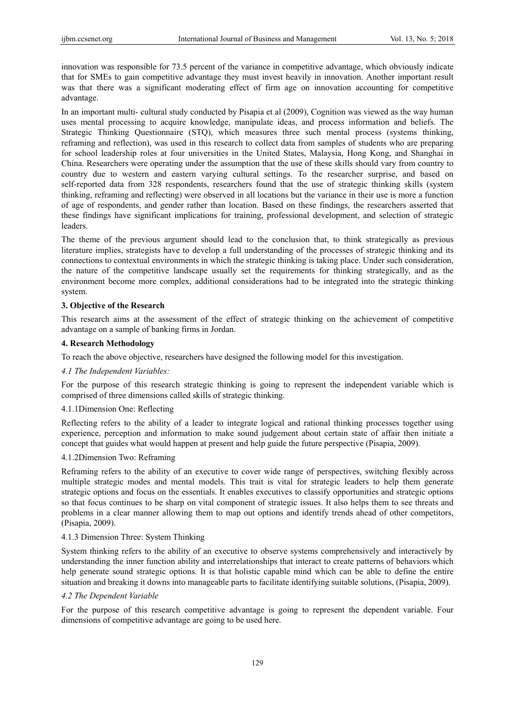innovation was responsible for 73.5 percent of the variance in competitive advantage, which obviously indicate that for SMEs to gain competitive advantage they must invest heavily in innovation. Another important result was that there was a significant moderating effect of firm age on innovation accounting for competitive advantage.

In an important multi- cultural study conducted by Pisapia et al (2009), Cognition was viewed as the way human uses mental processing to acquire knowledge, manipulate ideas, and process information and beliefs. The Strategic Thinking Questionnaire (STQ), which measures three such mental process (systems thinking, reframing and reflection), was used in this research to collect data from samples of students who are preparing for school leadership roles at four universities in the United States, Malaysia, Hong Kong, and Shanghai in China. Researchers were operating under the assumption that the use of these skills should vary from country to country due to western and eastern varying cultural settings. To the researcher surprise, and based on self-reported data from 328 respondents, researchers found that the use of strategic thinking skills (system thinking, reframing and reflecting) were observed in all locations but the variance in their use is more a function of age of respondents, and gender rather than location. Based on these findings, the researchers asserted that these findings have significant implications for training, professional development, and selection of strategic leaders.

The theme of the previous argument should lead to the conclusion that, to think strategically as previous literature implies, strategists have to develop a full understanding of the processes of strategic thinking and its connections to contextual environments in which the strategic thinking is taking place. Under such consideration, the nature of the competitive landscape usually set the requirements for thinking strategically, and as the environment become more complex, additional considerations had to be integrated into the strategic thinking system.

## **3. Objective of the Research**

This research aims at the assessment of the effect of strategic thinking on the achievement of competitive advantage on a sample of banking firms in Jordan.

#### **4. Research Methodology**

To reach the above objective, researchers have designed the following model for this investigation.

#### *4.1 The Independent Variables:*

For the purpose of this research strategic thinking is going to represent the independent variable which is comprised of three dimensions called skills of strategic thinking.

## 4.1.1Dimension One: Reflecting

Reflecting refers to the ability of a leader to integrate logical and rational thinking processes together using experience, perception and information to make sound judgement about certain state of affair then initiate a concept that guides what would happen at present and help guide the future perspective (Pisapia, 2009).

# 4.1.2Dimension Two: Reframing

Reframing refers to the ability of an executive to cover wide range of perspectives, switching flexibly across multiple strategic modes and mental models. This trait is vital for strategic leaders to help them generate strategic options and focus on the essentials. It enables executives to classify opportunities and strategic options so that focus continues to be sharp on vital component of strategic issues. It also helps them to see threats and problems in a clear manner allowing them to map out options and identify trends ahead of other competitors, (Pisapia, 2009).

## 4.1.3 Dimension Three: System Thinking

System thinking refers to the ability of an executive to observe systems comprehensively and interactively by understanding the inner function ability and interrelationships that interact to create patterns of behaviors which help generate sound strategic options. It is that holistic capable mind which can be able to define the entire situation and breaking it downs into manageable parts to facilitate identifying suitable solutions, (Pisapia, 2009).

#### *4.2 The Dependent Variable*

For the purpose of this research competitive advantage is going to represent the dependent variable. Four dimensions of competitive advantage are going to be used here.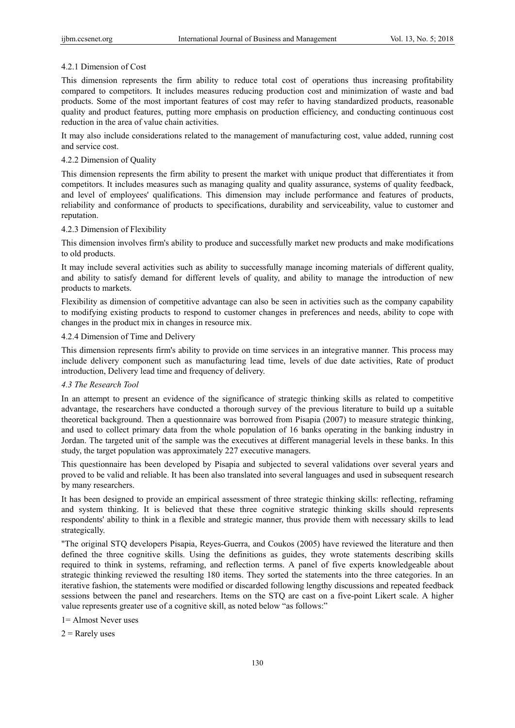## 4.2.1 Dimension of Cost

This dimension represents the firm ability to reduce total cost of operations thus increasing profitability compared to competitors. It includes measures reducing production cost and minimization of waste and bad products. Some of the most important features of cost may refer to having standardized products, reasonable quality and product features, putting more emphasis on production efficiency, and conducting continuous cost reduction in the area of value chain activities.

It may also include considerations related to the management of manufacturing cost, value added, running cost and service cost.

## 4.2.2 Dimension of Quality

This dimension represents the firm ability to present the market with unique product that differentiates it from competitors. It includes measures such as managing quality and quality assurance, systems of quality feedback, and level of employees' qualifications. This dimension may include performance and features of products, reliability and conformance of products to specifications, durability and serviceability, value to customer and reputation.

#### 4.2.3 Dimension of Flexibility

This dimension involves firm's ability to produce and successfully market new products and make modifications to old products.

It may include several activities such as ability to successfully manage incoming materials of different quality, and ability to satisfy demand for different levels of quality, and ability to manage the introduction of new products to markets.

Flexibility as dimension of competitive advantage can also be seen in activities such as the company capability to modifying existing products to respond to customer changes in preferences and needs, ability to cope with changes in the product mix in changes in resource mix.

## 4.2.4 Dimension of Time and Delivery

This dimension represents firm's ability to provide on time services in an integrative manner. This process may include delivery component such as manufacturing lead time, levels of due date activities, Rate of product introduction, Delivery lead time and frequency of delivery.

## *4.3 The Research Tool*

In an attempt to present an evidence of the significance of strategic thinking skills as related to competitive advantage, the researchers have conducted a thorough survey of the previous literature to build up a suitable theoretical background. Then a questionnaire was borrowed from Pisapia (2007) to measure strategic thinking, and used to collect primary data from the whole population of 16 banks operating in the banking industry in Jordan. The targeted unit of the sample was the executives at different managerial levels in these banks. In this study, the target population was approximately 227 executive managers.

This questionnaire has been developed by Pisapia and subjected to several validations over several years and proved to be valid and reliable. It has been also translated into several languages and used in subsequent research by many researchers.

It has been designed to provide an empirical assessment of three strategic thinking skills: reflecting, reframing and system thinking. It is believed that these three cognitive strategic thinking skills should represents respondents' ability to think in a flexible and strategic manner, thus provide them with necessary skills to lead strategically.

"The original STQ developers Pisapia, Reyes-Guerra, and Coukos (2005) have reviewed the literature and then defined the three cognitive skills. Using the definitions as guides, they wrote statements describing skills required to think in systems, reframing, and reflection terms. A panel of five experts knowledgeable about strategic thinking reviewed the resulting 180 items. They sorted the statements into the three categories. In an iterative fashion, the statements were modified or discarded following lengthy discussions and repeated feedback sessions between the panel and researchers. Items on the STQ are cast on a five-point Likert scale. A higher value represents greater use of a cognitive skill, as noted below "as follows:"

1= Almost Never uses

 $2$  = Rarely uses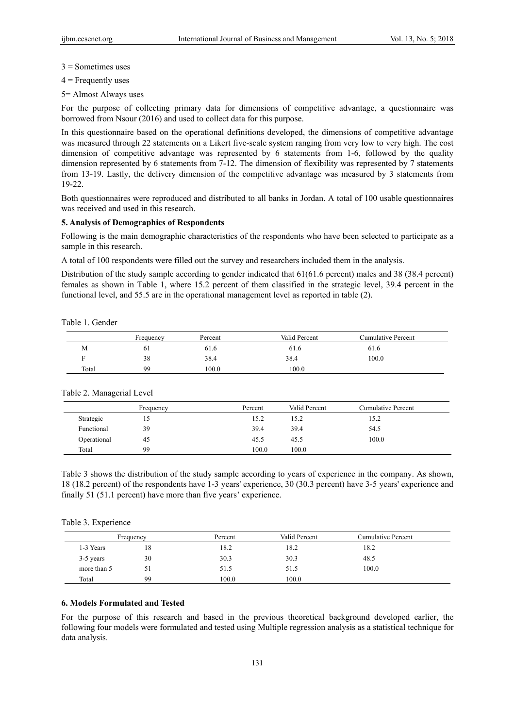$3$  = Sometimes uses

 $4$  = Frequently uses

5= Almost Always uses

For the purpose of collecting primary data for dimensions of competitive advantage, a questionnaire was borrowed from Nsour (2016) and used to collect data for this purpose.

In this questionnaire based on the operational definitions developed, the dimensions of competitive advantage was measured through 22 statements on a Likert five-scale system ranging from very low to very high. The cost dimension of competitive advantage was represented by 6 statements from 1-6, followed by the quality dimension represented by 6 statements from 7-12. The dimension of flexibility was represented by 7 statements from 13-19. Lastly, the delivery dimension of the competitive advantage was measured by 3 statements from 19-22.

Both questionnaires were reproduced and distributed to all banks in Jordan. A total of 100 usable questionnaires was received and used in this research.

## **5. Analysis of Demographics of Respondents**

Following is the main demographic characteristics of the respondents who have been selected to participate as a sample in this research.

A total of 100 respondents were filled out the survey and researchers included them in the analysis.

Distribution of the study sample according to gender indicated that 61(61.6 percent) males and 38 (38.4 percent) females as shown in Table 1, where 15.2 percent of them classified in the strategic level, 39.4 percent in the functional level, and 55.5 are in the operational management level as reported in table (2).

## Table 1. Gender

|       | Frequency | Percent | Valid Percent | Cumulative Percent |  |
|-------|-----------|---------|---------------|--------------------|--|
| М     | 01        | 61.6    | 61.6          | 01.0               |  |
|       | 38        | 38.4    | 38.4          | 100.0              |  |
| Total | 99        | 100.0   | 100.0         |                    |  |

## Table 2. Managerial Level

|             | Frequency | Percent | Valid Percent | Cumulative Percent |
|-------------|-----------|---------|---------------|--------------------|
| Strategic   | 15        | 15.2    | 15.2          | 15.2               |
| Functional  | 39        | 39.4    | 39.4          | 54.5               |
| Operational | 45        | 45.5    | 45.5          | 100.0              |
| Total       | 99        | 100.0   | 100.0         |                    |

Table 3 shows the distribution of the study sample according to years of experience in the company. As shown, 18 (18.2 percent) of the respondents have 1-3 years' experience, 30 (30.3 percent) have 3-5 years' experience and finally 51 (51.1 percent) have more than five years' experience.

|  | Table 3. Experience |
|--|---------------------|
|  |                     |

|             | Frequency | Percent | Valid Percent | Cumulative Percent |
|-------------|-----------|---------|---------------|--------------------|
| 1-3 Years   | 18        | 18.2    | 18.2          | 18.2               |
| 3-5 years   | 30        | 30.3    | 30.3          | 48.5               |
| more than 5 | 51        | 51.5    | 51.5          | 100.0              |
| Total       | 99        | 100.0   | 100.0         |                    |

## **6. Models Formulated and Tested**

For the purpose of this research and based in the previous theoretical background developed earlier, the following four models were formulated and tested using Multiple regression analysis as a statistical technique for data analysis.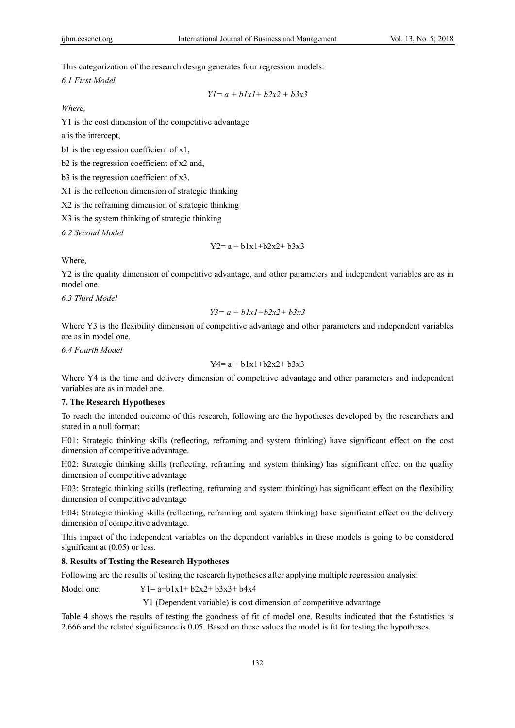This categorization of the research design generates four regression models:

*6.1 First Model* 

$$
YI = a + b1xI + b2x2 + b3x3
$$

*Where,* 

Y1 is the cost dimension of the competitive advantage

a is the intercept,

b1 is the regression coefficient of x1,

b2 is the regression coefficient of x2 and,

b3 is the regression coefficient of x3.

X1 is the reflection dimension of strategic thinking

X2 is the reframing dimension of strategic thinking

X3 is the system thinking of strategic thinking

*6.2 Second Model* 

$$
Y2 = a + b1x1 + b2x2 + b3x3
$$

Where,

Y2 is the quality dimension of competitive advantage, and other parameters and independent variables are as in model one.

*6.3 Third Model* 

$$
Y3 = a + b1x1 + b2x2 + b3x3
$$

Where Y3 is the flexibility dimension of competitive advantage and other parameters and independent variables are as in model one*.*

*6.4 Fourth Model* 

$$
Y4 = a + b1x1 + b2x2 + b3x3
$$

Where Y4 is the time and delivery dimension of competitive advantage and other parameters and independent variables are as in model one.

## **7. The Research Hypotheses**

To reach the intended outcome of this research, following are the hypotheses developed by the researchers and stated in a null format:

H01: Strategic thinking skills (reflecting, reframing and system thinking) have significant effect on the cost dimension of competitive advantage.

H02: Strategic thinking skills (reflecting, reframing and system thinking) has significant effect on the quality dimension of competitive advantage

H03: Strategic thinking skills (reflecting, reframing and system thinking) has significant effect on the flexibility dimension of competitive advantage

H04: Strategic thinking skills (reflecting, reframing and system thinking) have significant effect on the delivery dimension of competitive advantage.

This impact of the independent variables on the dependent variables in these models is going to be considered significant at  $(0.05)$  or less.

## **8. Results of Testing the Research Hypotheses**

Following are the results of testing the research hypotheses after applying multiple regression analysis:

Model one:  $Y1 = a+b1x1 + b2x2 + b3x3 + b4x4$ 

Y1 (Dependent variable) is cost dimension of competitive advantage

Table 4 shows the results of testing the goodness of fit of model one. Results indicated that the f-statistics is 2.666 and the related significance is 0.05. Based on these values the model is fit for testing the hypotheses.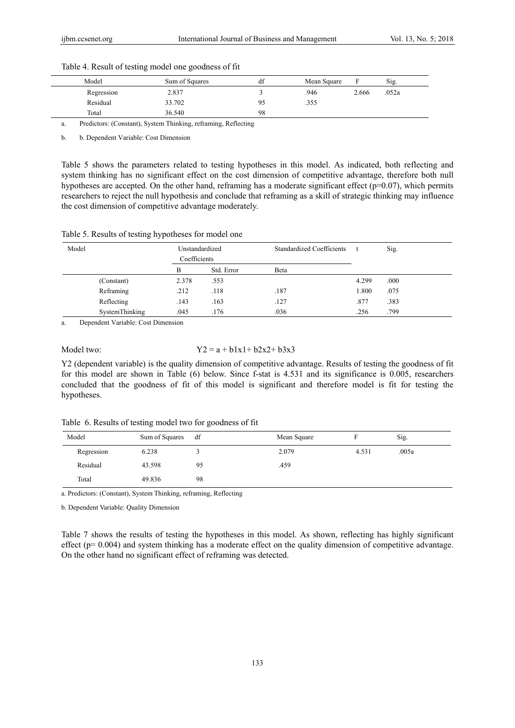| Model      | Sum of Squares | dì | Mean Square |       | S12.  |  |
|------------|----------------|----|-------------|-------|-------|--|
| Regression | 2.837          |    | .946        | 2.666 | .052a |  |
| Residual   | 33.702         | 95 | .355        |       |       |  |
| Total      | 36.540         | 98 |             |       |       |  |
|            |                |    |             |       |       |  |

Table 4. Result of testing model one goodness of fit

a. Predictors: (Constant), System Thinking, reframing, Reflecting

b. b. Dependent Variable: Cost Dimension

Table 5 shows the parameters related to testing hypotheses in this model. As indicated, both reflecting and system thinking has no significant effect on the cost dimension of competitive advantage, therefore both null hypotheses are accepted. On the other hand, reframing has a moderate significant effect (p=0.07), which permits researchers to reject the null hypothesis and conclude that reframing as a skill of strategic thinking may influence the cost dimension of competitive advantage moderately.

|  | Table 5. Results of testing hypotheses for model one |  |
|--|------------------------------------------------------|--|
|  |                                                      |  |

| Model |                | Unstandardized |            | <b>Standardized Coefficients</b> |       | Sig. |
|-------|----------------|----------------|------------|----------------------------------|-------|------|
|       |                | Coefficients   |            |                                  |       |      |
|       |                | B              | Std. Error | Beta                             |       |      |
|       | (Constant)     | 2.378          | .553       |                                  | 4.299 | .000 |
|       | Reframing      | .212           | .118       | .187                             | 1.800 | .075 |
|       | Reflecting     | .143           | .163       | .127                             | .877  | .383 |
|       | SystemThinking | .045           | .176       | .036                             | .256  | .799 |

a. Dependent Variable: Cost Dimension

## Model two:  $Y2 = a + b1x1 + b2x2 + b3x3$

Y2 (dependent variable) is the quality dimension of competitive advantage. Results of testing the goodness of fit for this model are shown in Table (6) below. Since f-stat is 4.531 and its significance is 0.005, researchers concluded that the goodness of fit of this model is significant and therefore model is fit for testing the hypotheses.

Table 6. Results of testing model two for goodness of fit

| Model      | Sum of Squares | df | Mean Square |       | Sig.  |  |
|------------|----------------|----|-------------|-------|-------|--|
| Regression | 6.238          |    | 2.079       | 4.531 | .005a |  |
| Residual   | 43.598         | 95 | .459        |       |       |  |
| Total      | 49.836         | 98 |             |       |       |  |

a. Predictors: (Constant), System Thinking, reframing, Reflecting

b. Dependent Variable: Quality Dimension

Table 7 shows the results of testing the hypotheses in this model. As shown, reflecting has highly significant effect (p= 0.004) and system thinking has a moderate effect on the quality dimension of competitive advantage. On the other hand no significant effect of reframing was detected.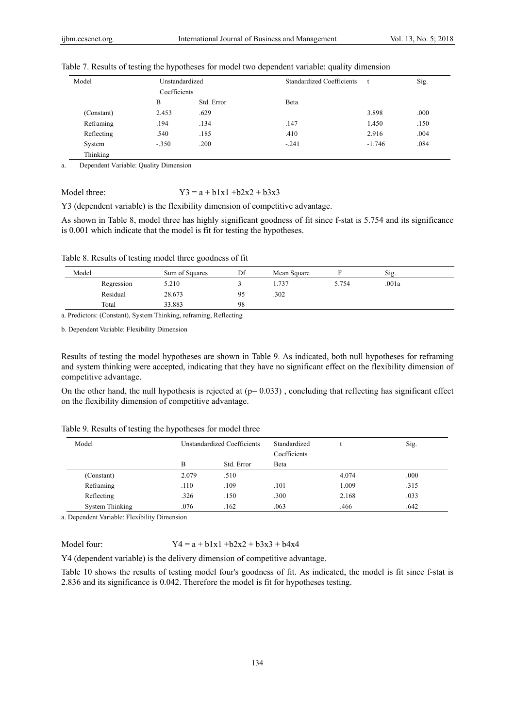| Model      | Unstandardized |            | Standardized Coefficients |          | Sig. |
|------------|----------------|------------|---------------------------|----------|------|
|            | Coefficients   |            |                           |          |      |
|            | B              | Std. Error | Beta                      |          |      |
| (Constant) | 2.453          | .629       |                           | 3.898    | .000 |
| Reframing  | .194           | .134       | .147                      | 1.450    | .150 |
| Reflecting | .540           | .185       | .410                      | 2.916    | .004 |
| System     | $-.350$        | .200       | $-.241$                   | $-1.746$ | .084 |
| Thinking   |                |            |                           |          |      |

| Table 7. Results of testing the hypotheses for model two dependent variable: quality dimension |  |  |  |
|------------------------------------------------------------------------------------------------|--|--|--|
|                                                                                                |  |  |  |

a. Dependent Variable: Quality Dimension

Y3 (dependent variable) is the flexibility dimension of competitive advantage.

As shown in Table 8, model three has highly significant goodness of fit since f-stat is 5.754 and its significance is 0.001 which indicate that the model is fit for testing the hypotheses.

Table 8. Results of testing model three goodness of fit

| Model      | Sum of Squares | Df | Mean Square |       | Sig.  |  |
|------------|----------------|----|-------------|-------|-------|--|
| Regression | 5.210          |    | 1.737       | 5.754 | .001a |  |
| Residual   | 28.673         | 95 | .302        |       |       |  |
| Total      | 33.883         | 98 |             |       |       |  |

a. Predictors: (Constant), System Thinking, reframing, Reflecting

b. Dependent Variable: Flexibility Dimension

Results of testing the model hypotheses are shown in Table 9. As indicated, both null hypotheses for reframing and system thinking were accepted, indicating that they have no significant effect on the flexibility dimension of competitive advantage.

On the other hand, the null hypothesis is rejected at  $(p= 0.033)$ , concluding that reflecting has significant effect on the flexibility dimension of competitive advantage.

|  | Table 9. Results of testing the hypotheses for model three |  |  |
|--|------------------------------------------------------------|--|--|
|  |                                                            |  |  |

| Model           |       | Unstandardized Coefficients |      |       | Sig. |
|-----------------|-------|-----------------------------|------|-------|------|
|                 | В     | Std. Error                  | Beta |       |      |
| (Constant)      | 2.079 | .510                        |      | 4.074 | .000 |
| Reframing       | .110  | .109                        | .101 | 1.009 | .315 |
| Reflecting      | .326  | .150                        | .300 | 2.168 | .033 |
| System Thinking | .076  | .162                        | .063 | .466  | .642 |

a. Dependent Variable: Flexibility Dimension

| Model four: | $Y4 = a + b1x1 + b2x2 + b3x3 + b4x4$ |  |
|-------------|--------------------------------------|--|
|             |                                      |  |

Y4 (dependent variable) is the delivery dimension of competitive advantage.

Table 10 shows the results of testing model four's goodness of fit. As indicated, the model is fit since f-stat is 2.836 and its significance is 0.042. Therefore the model is fit for hypotheses testing.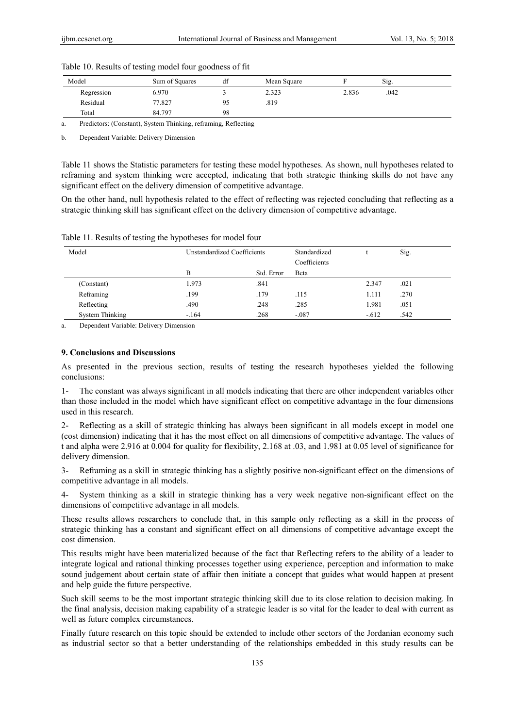|  |  |  |  |  | Table 10. Results of testing model four goodness of fit |
|--|--|--|--|--|---------------------------------------------------------|
|--|--|--|--|--|---------------------------------------------------------|

| Model      | Sum of Squares | df | Mean Square |       | Sig. |
|------------|----------------|----|-------------|-------|------|
| Regression | 6.970          |    | 2.323       | 2.836 | .042 |
| Residual   | 77.827         | 95 | .819        |       |      |
| Total      | 84.797         | 98 |             |       |      |

a. Predictors: (Constant), System Thinking, reframing, Reflecting

b. Dependent Variable: Delivery Dimension

Table 11 shows the Statistic parameters for testing these model hypotheses. As shown, null hypotheses related to reframing and system thinking were accepted, indicating that both strategic thinking skills do not have any significant effect on the delivery dimension of competitive advantage.

On the other hand, null hypothesis related to the effect of reflecting was rejected concluding that reflecting as a strategic thinking skill has significant effect on the delivery dimension of competitive advantage.

Table 11. Results of testing the hypotheses for model four

| Model           |         | Unstandardized Coefficients |              |         | Sig. |  |
|-----------------|---------|-----------------------------|--------------|---------|------|--|
|                 |         |                             | Coefficients |         |      |  |
|                 | в       | Std. Error                  | Beta         |         |      |  |
| (Constant)      | 1.973   | .841                        |              | 2.347   | .021 |  |
| Reframing       | .199    | .179                        | .115         | 1.111   | .270 |  |
| Reflecting      | .490    | .248                        | .285         | 1.981   | .051 |  |
| System Thinking | $-.164$ | .268                        | $-.087$      | $-.612$ | .542 |  |

a. Dependent Variable: Delivery Dimension

## **9. Conclusions and Discussions**

As presented in the previous section, results of testing the research hypotheses yielded the following conclusions:

1- The constant was always significant in all models indicating that there are other independent variables other than those included in the model which have significant effect on competitive advantage in the four dimensions used in this research.

2- Reflecting as a skill of strategic thinking has always been significant in all models except in model one (cost dimension) indicating that it has the most effect on all dimensions of competitive advantage. The values of t and alpha were 2.916 at 0.004 for quality for flexibility, 2.168 at .03, and 1.981 at 0.05 level of significance for delivery dimension.

3- Reframing as a skill in strategic thinking has a slightly positive non-significant effect on the dimensions of competitive advantage in all models.

4- System thinking as a skill in strategic thinking has a very week negative non-significant effect on the dimensions of competitive advantage in all models.

These results allows researchers to conclude that, in this sample only reflecting as a skill in the process of strategic thinking has a constant and significant effect on all dimensions of competitive advantage except the cost dimension.

This results might have been materialized because of the fact that Reflecting refers to the ability of a leader to integrate logical and rational thinking processes together using experience, perception and information to make sound judgement about certain state of affair then initiate a concept that guides what would happen at present and help guide the future perspective.

Such skill seems to be the most important strategic thinking skill due to its close relation to decision making. In the final analysis, decision making capability of a strategic leader is so vital for the leader to deal with current as well as future complex circumstances.

Finally future research on this topic should be extended to include other sectors of the Jordanian economy such as industrial sector so that a better understanding of the relationships embedded in this study results can be